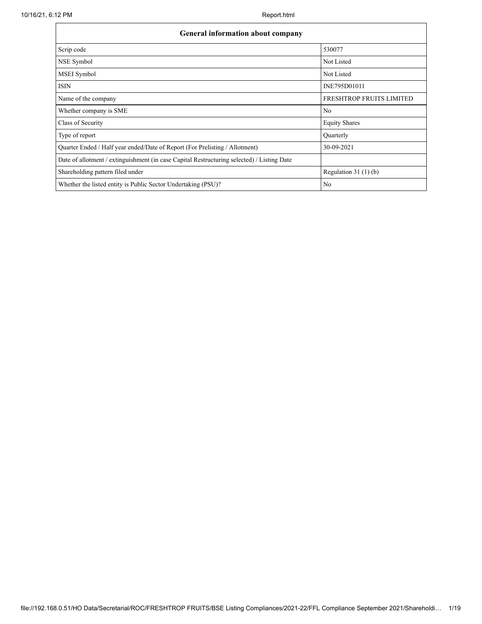| <b>General information about company</b>                                                   |                          |  |  |  |  |  |  |
|--------------------------------------------------------------------------------------------|--------------------------|--|--|--|--|--|--|
| Scrip code                                                                                 | 530077                   |  |  |  |  |  |  |
| NSE Symbol                                                                                 | Not Listed               |  |  |  |  |  |  |
| MSEI Symbol                                                                                | Not Listed               |  |  |  |  |  |  |
| <b>ISIN</b>                                                                                | INE795D01011             |  |  |  |  |  |  |
| Name of the company                                                                        | FRESHTROP FRUITS LIMITED |  |  |  |  |  |  |
| Whether company is SME                                                                     | No                       |  |  |  |  |  |  |
| Class of Security                                                                          | <b>Equity Shares</b>     |  |  |  |  |  |  |
| Type of report                                                                             | Ouarterly                |  |  |  |  |  |  |
| Quarter Ended / Half year ended/Date of Report (For Prelisting / Allotment)                | 30-09-2021               |  |  |  |  |  |  |
| Date of allotment / extinguishment (in case Capital Restructuring selected) / Listing Date |                          |  |  |  |  |  |  |
| Shareholding pattern filed under                                                           | Regulation 31 $(1)(b)$   |  |  |  |  |  |  |
| Whether the listed entity is Public Sector Undertaking (PSU)?                              | N <sub>0</sub>           |  |  |  |  |  |  |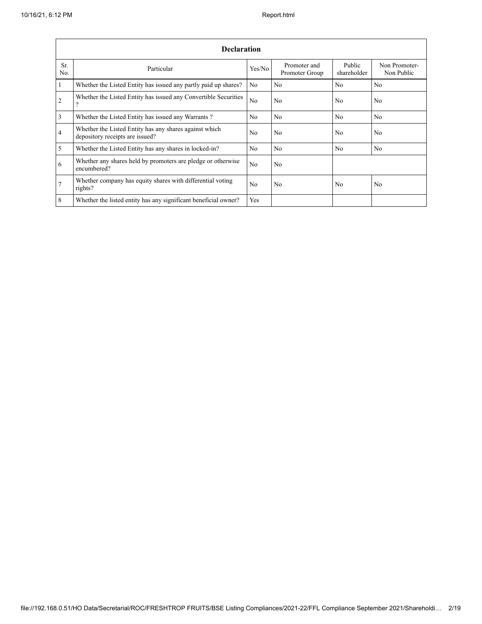|                       | <b>Declaration</b>                                                                        |                |                                |                       |                             |  |  |  |  |  |  |
|-----------------------|-------------------------------------------------------------------------------------------|----------------|--------------------------------|-----------------------|-----------------------------|--|--|--|--|--|--|
| Sr.<br>N <sub>0</sub> | Particular                                                                                | Yes/No         | Promoter and<br>Promoter Group | Public<br>shareholder | Non Promoter-<br>Non Public |  |  |  |  |  |  |
| $\overline{1}$        | Whether the Listed Entity has issued any partly paid up shares?                           | N <sub>0</sub> | No.                            | N <sub>0</sub>        | N <sub>0</sub>              |  |  |  |  |  |  |
| $\overline{2}$        | Whether the Listed Entity has issued any Convertible Securities<br>າ                      | N <sub>0</sub> | No.                            | N <sub>0</sub>        | N <sub>0</sub>              |  |  |  |  |  |  |
| $\overline{3}$        | Whether the Listed Entity has issued any Warrants?                                        | N <sub>0</sub> | No.                            | N <sub>0</sub>        | N <sub>0</sub>              |  |  |  |  |  |  |
| $\overline{4}$        | Whether the Listed Entity has any shares against which<br>depository receipts are issued? | No             | No.                            | N <sub>0</sub>        | N <sub>0</sub>              |  |  |  |  |  |  |
| $\overline{5}$        | Whether the Listed Entity has any shares in locked-in?                                    | N <sub>0</sub> | No.                            | N <sub>0</sub>        | N <sub>0</sub>              |  |  |  |  |  |  |
| 6                     | Whether any shares held by promoters are pledge or otherwise<br>encumbered?               | N <sub>0</sub> | No.                            |                       |                             |  |  |  |  |  |  |
| $\overline{7}$        | Whether company has equity shares with differential voting<br>rights?                     | No             | No.                            | N <sub>0</sub>        | N <sub>0</sub>              |  |  |  |  |  |  |
| 8                     | Whether the listed entity has any significant beneficial owner?                           | Yes            |                                |                       |                             |  |  |  |  |  |  |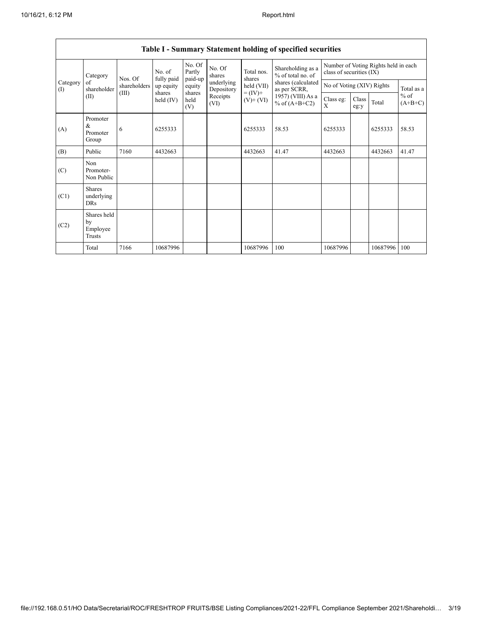| Table 1 - Summary Statement holding of specified securities |                                           |              |                      |                             |                          |                              |                                        |                                                                  |               |            |                     |
|-------------------------------------------------------------|-------------------------------------------|--------------|----------------------|-----------------------------|--------------------------|------------------------------|----------------------------------------|------------------------------------------------------------------|---------------|------------|---------------------|
| Category<br>of<br>(1)<br>(II)                               | Category                                  | Nos. Of      | No. of<br>fully paid | No. Of<br>Partly<br>paid-up | No. Of<br>shares         | Total nos.<br>shares         | Shareholding as a<br>% of total no. of | Number of Voting Rights held in each<br>class of securities (IX) |               |            |                     |
|                                                             | shareholder                               | shareholders | up equity            | equity                      | underlying<br>Depository | held (VII)                   | shares (calculated<br>as per SCRR,     | No of Voting (XIV) Rights                                        |               | Total as a |                     |
|                                                             |                                           | (III)        | shares<br>held (IV)  | shares<br>held<br>(V)       | Receipts<br>(VI)         | $= (IV) +$<br>$(V)$ + $(VI)$ | 1957) (VIII) As a<br>% of $(A+B+C2)$   | Class eg:<br>X                                                   | Class<br>eg:y | Total      | $%$ of<br>$(A+B+C)$ |
| (A)                                                         | Promoter<br>&<br>Promoter<br>Group        | 6            | 6255333              |                             |                          | 6255333                      | 58.53                                  | 6255333                                                          |               | 6255333    | 58.53               |
| (B)                                                         | Public                                    | 7160         | 4432663              |                             |                          | 4432663                      | 41.47                                  | 4432663                                                          |               | 4432663    | 41.47               |
| (C)                                                         | <b>Non</b><br>Promoter-<br>Non Public     |              |                      |                             |                          |                              |                                        |                                                                  |               |            |                     |
| (C1)                                                        | <b>Shares</b><br>underlying<br><b>DRs</b> |              |                      |                             |                          |                              |                                        |                                                                  |               |            |                     |
| (C2)                                                        | Shares held<br>by<br>Employee<br>Trusts   |              |                      |                             |                          |                              |                                        |                                                                  |               |            |                     |
|                                                             | Total                                     | 7166         | 10687996             |                             |                          | 10687996                     | 100                                    | 10687996                                                         |               | 10687996   | 100                 |

# **Table I - Summary Statement holding of specified securities**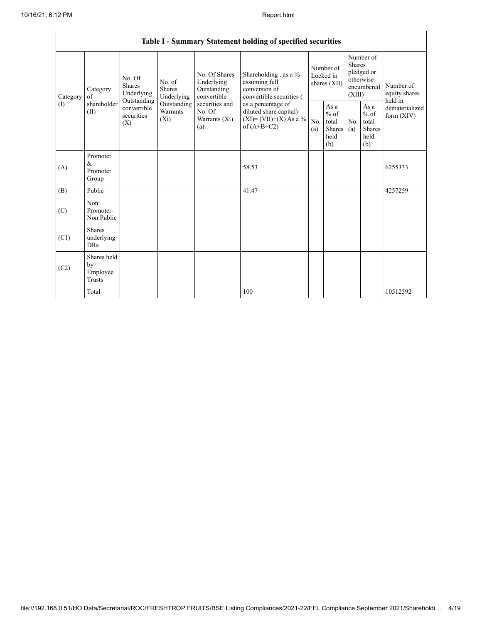| Table I - Summary Statement holding of specified securities |                                           |                                                                                                                                                                         |                                                  |                                                                                            |                                                                                    |                                                         |            |                                                                               |                                |                                       |
|-------------------------------------------------------------|-------------------------------------------|-------------------------------------------------------------------------------------------------------------------------------------------------------------------------|--------------------------------------------------|--------------------------------------------------------------------------------------------|------------------------------------------------------------------------------------|---------------------------------------------------------|------------|-------------------------------------------------------------------------------|--------------------------------|---------------------------------------|
| Category<br>(I)                                             | Category<br>of<br>shareholder<br>(II)     | No. Of<br>No. of<br>Shares<br><b>Shares</b><br>Underlying<br>Underlying<br>Outstanding<br>Outstanding<br>convertible<br><b>Warrants</b><br>securities<br>$(X_i)$<br>(X) |                                                  | No. Of Shares<br>Underlying<br>Outstanding<br>convertible                                  | Shareholding, as a %<br>assuming full<br>conversion of<br>convertible securities ( | Number of<br>Locked in<br>shares (XII)                  |            | Number of<br><b>Shares</b><br>pledged or<br>otherwise<br>encumbered<br>(XIII) |                                | Number of<br>equity shares<br>held in |
|                                                             |                                           |                                                                                                                                                                         | securities and<br>No. Of<br>Warrants (Xi)<br>(a) | as a percentage of<br>diluted share capital)<br>$(XI) = (VII)+(X) As a %$<br>of $(A+B+C2)$ | No.<br>(a)                                                                         | As a<br>$%$ of<br>total<br><b>Shares</b><br>held<br>(b) | No.<br>(a) | As $\mathbf{a}$<br>$%$ of<br>total<br><b>Shares</b><br>held<br>(b)            | dematerialized<br>form $(XIV)$ |                                       |
| (A)                                                         | Promoter<br>&<br>Promoter<br>Group        |                                                                                                                                                                         |                                                  |                                                                                            | 58.53                                                                              |                                                         |            |                                                                               |                                | 6255333                               |
| (B)                                                         | Public                                    |                                                                                                                                                                         |                                                  |                                                                                            | 41.47                                                                              |                                                         |            |                                                                               |                                | 4257259                               |
| (C)                                                         | Non<br>Promoter-<br>Non Public            |                                                                                                                                                                         |                                                  |                                                                                            |                                                                                    |                                                         |            |                                                                               |                                |                                       |
| (C1)                                                        | <b>Shares</b><br>underlying<br><b>DRs</b> |                                                                                                                                                                         |                                                  |                                                                                            |                                                                                    |                                                         |            |                                                                               |                                |                                       |
| (C2)                                                        | Shares held<br>by<br>Employee<br>Trusts   |                                                                                                                                                                         |                                                  |                                                                                            |                                                                                    |                                                         |            |                                                                               |                                |                                       |
|                                                             | Total                                     |                                                                                                                                                                         |                                                  |                                                                                            | 100                                                                                |                                                         |            |                                                                               |                                | 10512592                              |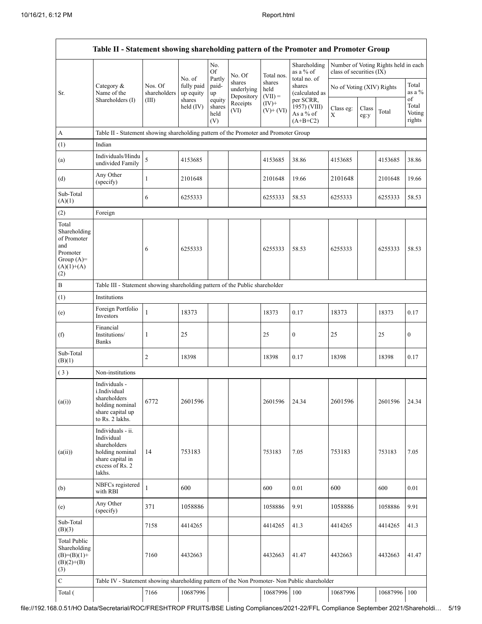|                                                                                                | Table II - Statement showing shareholding pattern of the Promoter and Promoter Group                                |                         |                                                            |                                                          |                                                        |                             |                                                      |                           |               |                                      |                           |
|------------------------------------------------------------------------------------------------|---------------------------------------------------------------------------------------------------------------------|-------------------------|------------------------------------------------------------|----------------------------------------------------------|--------------------------------------------------------|-----------------------------|------------------------------------------------------|---------------------------|---------------|--------------------------------------|---------------------------|
|                                                                                                |                                                                                                                     |                         | No. of<br>fully paid<br>up equity<br>shares<br>held $(IV)$ | No.<br><b>Of</b>                                         | No. Of                                                 | Total nos.                  | Shareholding<br>as a % of                            | class of securities (IX)  |               | Number of Voting Rights held in each |                           |
| Sr.                                                                                            | Category &<br>Name of the<br>Shareholders (I)                                                                       | Nos. Of<br>shareholders |                                                            | Partly<br>paid-<br>up<br>equity<br>shares<br>held<br>(V) | shares<br>underlying<br>Depository<br>Receipts<br>(VI) | shares<br>held<br>$(VII) =$ | total no. of<br>shares<br>(calculated as             | No of Voting (XIV) Rights |               |                                      | Total<br>as a %<br>of     |
|                                                                                                |                                                                                                                     | (III)                   |                                                            |                                                          |                                                        | $(IV)+$<br>$(V)$ + $(VI)$   | per SCRR,<br>1957) (VIII)<br>As a % of<br>$(A+B+C2)$ | Class eg:<br>X            | Class<br>eg:y | Total                                | Total<br>Voting<br>rights |
| A                                                                                              | Table II - Statement showing shareholding pattern of the Promoter and Promoter Group                                |                         |                                                            |                                                          |                                                        |                             |                                                      |                           |               |                                      |                           |
| (1)                                                                                            | Indian                                                                                                              |                         |                                                            |                                                          |                                                        |                             |                                                      |                           |               |                                      |                           |
| (a)                                                                                            | Individuals/Hindu<br>undivided Family                                                                               | 5                       | 4153685                                                    |                                                          |                                                        | 4153685                     | 38.86                                                | 4153685                   |               | 4153685                              | 38.86                     |
| (d)                                                                                            | Any Other<br>(specify)                                                                                              | $\mathbf{1}$            | 2101648                                                    |                                                          |                                                        | 2101648                     | 19.66                                                | 2101648                   |               | 2101648                              | 19.66                     |
| Sub-Total<br>(A)(1)                                                                            |                                                                                                                     | 6                       | 6255333                                                    |                                                          |                                                        | 6255333                     | 58.53                                                | 6255333                   |               | 6255333                              | 58.53                     |
| (2)                                                                                            | Foreign                                                                                                             |                         |                                                            |                                                          |                                                        |                             |                                                      |                           |               |                                      |                           |
| Total<br>Shareholding<br>of Promoter<br>and<br>Promoter<br>Group $(A)=$<br>$(A)(1)+(A)$<br>(2) |                                                                                                                     | 6                       | 6255333                                                    |                                                          |                                                        | 6255333                     | 58.53                                                | 6255333                   |               | 6255333                              | 58.53                     |
| $\, {\bf B}$                                                                                   | Table III - Statement showing shareholding pattern of the Public shareholder                                        |                         |                                                            |                                                          |                                                        |                             |                                                      |                           |               |                                      |                           |
| (1)                                                                                            | Institutions                                                                                                        |                         |                                                            |                                                          |                                                        |                             |                                                      |                           |               |                                      |                           |
| (e)                                                                                            | Foreign Portfolio<br>Investors                                                                                      | $\mathbf{1}$            | 18373                                                      |                                                          |                                                        | 18373                       | 0.17                                                 | 18373                     |               | 18373                                | 0.17                      |
| (f)                                                                                            | Financial<br>Institutions/<br><b>Banks</b>                                                                          | 1                       | 25                                                         |                                                          |                                                        | 25                          | $\boldsymbol{0}$                                     | 25                        |               | 25                                   | $\bf{0}$                  |
| Sub-Total<br>(B)(1)                                                                            |                                                                                                                     | 2                       | 18398                                                      |                                                          |                                                        | 18398                       | 0.17                                                 | 18398                     |               | 18398                                | 0.17                      |
| (3)                                                                                            | Non-institutions                                                                                                    |                         |                                                            |                                                          |                                                        |                             |                                                      |                           |               |                                      |                           |
| (a(i))                                                                                         | Individuals -<br>i.Individual<br>shareholders<br>holding nominal<br>share capital up<br>to Rs. 2 lakhs.             | 6772                    | 2601596                                                    |                                                          |                                                        | 2601596                     | 24.34                                                | 2601596                   |               | 2601596                              | 24.34                     |
| (a(ii))                                                                                        | Individuals - ii.<br>Individual<br>shareholders<br>holding nominal<br>share capital in<br>excess of Rs. 2<br>lakhs. | 14                      | 753183                                                     |                                                          |                                                        | 753183                      | 7.05                                                 | 753183                    |               | 753183                               | 7.05                      |
| (b)                                                                                            | NBFCs registered<br>with RBI                                                                                        | $\mathbf{1}$            | 600                                                        |                                                          |                                                        | 600                         | 0.01                                                 | 600                       |               | 600                                  | 0.01                      |
| (e)                                                                                            | Any Other<br>(specify)                                                                                              | 371                     | 1058886                                                    |                                                          |                                                        | 1058886                     | 9.91                                                 | 1058886                   |               | 1058886                              | 9.91                      |
| Sub-Total<br>(B)(3)                                                                            |                                                                                                                     | 7158                    | 4414265                                                    |                                                          |                                                        | 4414265                     | 41.3                                                 | 4414265                   |               | 4414265                              | 41.3                      |
| <b>Total Public</b><br>Shareholding<br>$(B)=(B)(1)+$<br>$(B)(2)+(B)$<br>(3)                    |                                                                                                                     | 7160                    | 4432663                                                    |                                                          |                                                        | 4432663                     | 41.47                                                | 4432663                   |               | 4432663                              | 41.47                     |
| ${\bf C}$                                                                                      | Table IV - Statement showing shareholding pattern of the Non Promoter- Non Public shareholder                       |                         |                                                            |                                                          |                                                        |                             |                                                      |                           |               |                                      |                           |
| Total (                                                                                        |                                                                                                                     | 7166                    | 10687996                                                   |                                                          |                                                        | 10687996                    | 100                                                  | 10687996                  |               | 10687996                             | 100                       |

file://192.168.0.51/HO Data/Secretarial/ROC/FRESHTROP FRUITS/BSE Listing Compliances/2021-22/FFL Compliance September 2021/Shareholdi… 5/19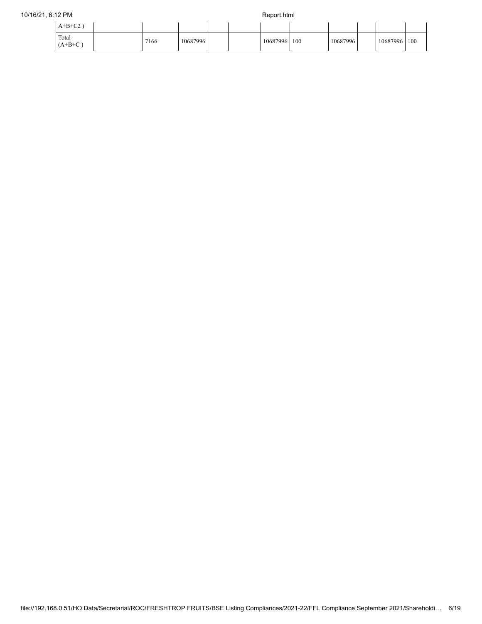## 10/16/21, 6:12 PM Report.html

| $A+B+C2$ )         |      |          |  |          |     |          |              |  |
|--------------------|------|----------|--|----------|-----|----------|--------------|--|
| Total<br>$(A+B+C)$ | 7166 | 10687996 |  | 10687996 | 100 | 10687996 | 10687996 100 |  |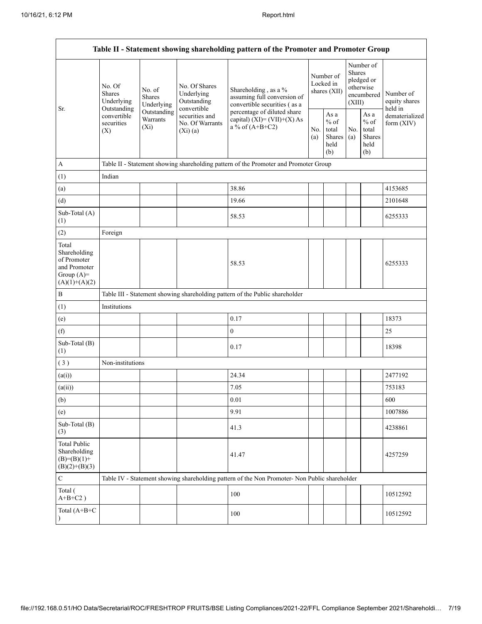| Table II - Statement showing shareholding pattern of the Promoter and Promoter Group    |                                                                                                                                                           |                                                                                      |                                                           |                                                                                                                    |                                        |                                                  |                                                                               |                                                         |                                       |  |  |
|-----------------------------------------------------------------------------------------|-----------------------------------------------------------------------------------------------------------------------------------------------------------|--------------------------------------------------------------------------------------|-----------------------------------------------------------|--------------------------------------------------------------------------------------------------------------------|----------------------------------------|--------------------------------------------------|-------------------------------------------------------------------------------|---------------------------------------------------------|---------------------------------------|--|--|
| Sr.                                                                                     | No. Of<br>No. of<br><b>Shares</b><br><b>Shares</b><br>Underlying<br>Outstanding<br>Outstanding<br>convertible<br>Warrants<br>securities<br>$(X_i)$<br>(X) | Underlying                                                                           | No. Of Shares<br>Underlying<br>Outstanding<br>convertible | Shareholding, as a %<br>assuming full conversion of<br>convertible securities (as a<br>percentage of diluted share | Number of<br>Locked in<br>shares (XII) |                                                  | Number of<br><b>Shares</b><br>pledged or<br>otherwise<br>encumbered<br>(XIII) |                                                         | Number of<br>equity shares<br>held in |  |  |
|                                                                                         |                                                                                                                                                           |                                                                                      | securities and<br>No. Of Warrants<br>(Xi)(a)              | capital) $(XI) = (VII)+(X) As$<br>a % of $(A+B+C2)$                                                                |                                        | As a<br>$%$ of<br>total<br>Shares<br>held<br>(b) | No.<br>(a)                                                                    | As a<br>$%$ of<br>total<br><b>Shares</b><br>held<br>(b) | dematerialized<br>form $(XIV)$        |  |  |
| A                                                                                       |                                                                                                                                                           | Table II - Statement showing shareholding pattern of the Promoter and Promoter Group |                                                           |                                                                                                                    |                                        |                                                  |                                                                               |                                                         |                                       |  |  |
| (1)                                                                                     | Indian                                                                                                                                                    |                                                                                      |                                                           |                                                                                                                    |                                        |                                                  |                                                                               |                                                         |                                       |  |  |
| (a)                                                                                     |                                                                                                                                                           |                                                                                      |                                                           | 38.86                                                                                                              |                                        |                                                  |                                                                               |                                                         | 4153685                               |  |  |
| (d)                                                                                     |                                                                                                                                                           |                                                                                      |                                                           | 19.66                                                                                                              |                                        |                                                  |                                                                               |                                                         | 2101648                               |  |  |
| Sub-Total (A)<br>(1)                                                                    |                                                                                                                                                           |                                                                                      |                                                           | 58.53                                                                                                              |                                        |                                                  |                                                                               |                                                         | 6255333                               |  |  |
| (2)                                                                                     | Foreign                                                                                                                                                   |                                                                                      |                                                           |                                                                                                                    |                                        |                                                  |                                                                               |                                                         |                                       |  |  |
| Total<br>Shareholding<br>of Promoter<br>and Promoter<br>Group $(A)=$<br>$(A)(1)+(A)(2)$ |                                                                                                                                                           |                                                                                      |                                                           | 58.53                                                                                                              |                                        |                                                  |                                                                               |                                                         | 6255333                               |  |  |
| $\, {\bf B}$                                                                            |                                                                                                                                                           |                                                                                      |                                                           | Table III - Statement showing shareholding pattern of the Public shareholder                                       |                                        |                                                  |                                                                               |                                                         |                                       |  |  |
| (1)                                                                                     | Institutions                                                                                                                                              |                                                                                      |                                                           |                                                                                                                    |                                        |                                                  |                                                                               |                                                         |                                       |  |  |
| (e)                                                                                     |                                                                                                                                                           |                                                                                      |                                                           | 0.17                                                                                                               |                                        |                                                  |                                                                               |                                                         | 18373                                 |  |  |
| (f)                                                                                     |                                                                                                                                                           |                                                                                      |                                                           | $\boldsymbol{0}$                                                                                                   |                                        |                                                  |                                                                               |                                                         | 25                                    |  |  |
| Sub-Total (B)<br>(1)                                                                    |                                                                                                                                                           |                                                                                      |                                                           | 0.17                                                                                                               |                                        |                                                  |                                                                               |                                                         | 18398                                 |  |  |
| (3)                                                                                     | Non-institutions                                                                                                                                          |                                                                                      |                                                           |                                                                                                                    |                                        |                                                  |                                                                               |                                                         |                                       |  |  |
| (a(i))                                                                                  |                                                                                                                                                           |                                                                                      |                                                           | 24.34                                                                                                              |                                        |                                                  |                                                                               |                                                         | 2477192                               |  |  |
| (a(ii))                                                                                 |                                                                                                                                                           |                                                                                      |                                                           | 7.05                                                                                                               |                                        |                                                  |                                                                               |                                                         | 753183                                |  |  |
| (b)                                                                                     |                                                                                                                                                           |                                                                                      |                                                           | 0.01                                                                                                               |                                        |                                                  |                                                                               |                                                         | 600                                   |  |  |
| (e)                                                                                     |                                                                                                                                                           |                                                                                      |                                                           | 9.91                                                                                                               |                                        |                                                  |                                                                               |                                                         | 1007886                               |  |  |
| Sub-Total (B)<br>(3)                                                                    |                                                                                                                                                           |                                                                                      |                                                           | 41.3                                                                                                               |                                        |                                                  |                                                                               |                                                         | 4238861                               |  |  |
| <b>Total Public</b><br>Shareholding<br>$(B)= (B)(1) +$<br>$(B)(2)+(B)(3)$               |                                                                                                                                                           |                                                                                      |                                                           | 41.47                                                                                                              |                                        |                                                  |                                                                               |                                                         | 4257259                               |  |  |
| ${\bf C}$                                                                               |                                                                                                                                                           |                                                                                      |                                                           | Table IV - Statement showing shareholding pattern of the Non Promoter- Non Public shareholder                      |                                        |                                                  |                                                                               |                                                         |                                       |  |  |
| Total (<br>$A+B+C2$ )                                                                   |                                                                                                                                                           |                                                                                      |                                                           | 100                                                                                                                |                                        |                                                  |                                                                               |                                                         | 10512592                              |  |  |
| Total (A+B+C<br>$\mathcal{Y}$                                                           |                                                                                                                                                           |                                                                                      |                                                           | 100                                                                                                                |                                        |                                                  |                                                                               |                                                         | 10512592                              |  |  |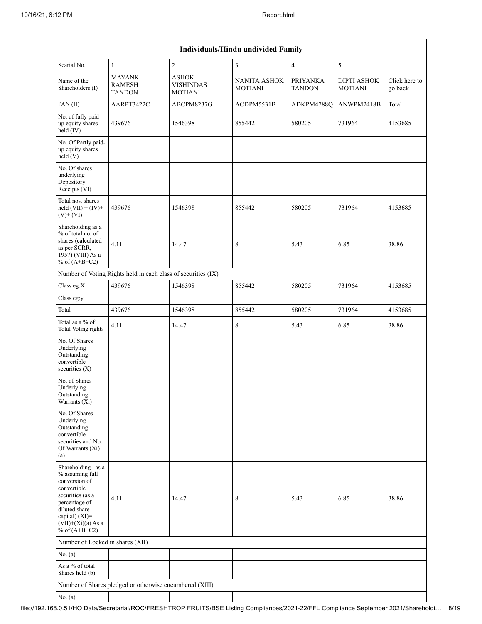|                                                                                                                                                                                             | <b>Individuals/Hindu undivided Family</b>                     |                                             |                                       |                           |                                      |                          |  |  |  |  |
|---------------------------------------------------------------------------------------------------------------------------------------------------------------------------------------------|---------------------------------------------------------------|---------------------------------------------|---------------------------------------|---------------------------|--------------------------------------|--------------------------|--|--|--|--|
| Searial No.                                                                                                                                                                                 | $\mathbf{1}$                                                  | $\overline{\mathbf{c}}$                     | $\overline{3}$                        | $\overline{4}$            | 5                                    |                          |  |  |  |  |
| Name of the<br>Shareholders (I)                                                                                                                                                             | <b>MAYANK</b><br><b>RAMESH</b><br><b>TANDON</b>               | ASHOK<br><b>VISHINDAS</b><br><b>MOTIANI</b> | <b>NANITA ASHOK</b><br><b>MOTIANI</b> | PRIYANKA<br><b>TANDON</b> | <b>DIPTI ASHOK</b><br><b>MOTIANI</b> | Click here to<br>go back |  |  |  |  |
| PAN (II)                                                                                                                                                                                    | AARPT3422C                                                    | ABCPM8237G                                  | ACDPM5531B                            | ADKPM4788Q                | ANWPM2418B                           | Total                    |  |  |  |  |
| No. of fully paid<br>up equity shares<br>$held$ (IV)                                                                                                                                        | 439676                                                        | 1546398                                     | 855442                                | 580205                    | 731964                               | 4153685                  |  |  |  |  |
| No. Of Partly paid-<br>up equity shares<br>held(V)                                                                                                                                          |                                                               |                                             |                                       |                           |                                      |                          |  |  |  |  |
| No. Of shares<br>underlying<br>Depository<br>Receipts (VI)                                                                                                                                  |                                                               |                                             |                                       |                           |                                      |                          |  |  |  |  |
| Total nos. shares<br>held $(VII) = (IV) +$<br>$(V)$ + $(VI)$                                                                                                                                | 439676                                                        | 1546398                                     | 855442                                | 580205                    | 731964                               | 4153685                  |  |  |  |  |
| Shareholding as a<br>% of total no. of<br>shares (calculated<br>as per SCRR,<br>1957) (VIII) As a<br>% of $(A+B+C2)$                                                                        | 4.11                                                          | 14.47                                       | 8                                     | 5.43                      | 6.85                                 | 38.86                    |  |  |  |  |
|                                                                                                                                                                                             | Number of Voting Rights held in each class of securities (IX) |                                             |                                       |                           |                                      |                          |  |  |  |  |
| Class eg:X                                                                                                                                                                                  | 439676                                                        | 1546398                                     | 855442                                | 580205                    | 731964                               | 4153685                  |  |  |  |  |
| Class eg:y                                                                                                                                                                                  |                                                               |                                             |                                       |                           |                                      |                          |  |  |  |  |
| Total                                                                                                                                                                                       | 439676                                                        | 1546398                                     | 855442                                | 580205                    | 731964                               | 4153685                  |  |  |  |  |
| Total as a % of<br>Total Voting rights                                                                                                                                                      | 4.11                                                          | 14.47                                       | 8                                     | 5.43                      | 6.85                                 | 38.86                    |  |  |  |  |
| No. Of Shares<br>Underlying<br>Outstanding<br>convertible<br>securities $(X)$                                                                                                               |                                                               |                                             |                                       |                           |                                      |                          |  |  |  |  |
| No. of Shares<br>Underlying<br>Outstanding<br>Warrants (Xi)                                                                                                                                 |                                                               |                                             |                                       |                           |                                      |                          |  |  |  |  |
| No. Of Shares<br>Underlying<br>Outstanding<br>convertible<br>securities and No.<br>Of Warrants (Xi)<br>(a)                                                                                  |                                                               |                                             |                                       |                           |                                      |                          |  |  |  |  |
| Shareholding, as a<br>% assuming full<br>conversion of<br>convertible<br>securities (as a<br>percentage of<br>diluted share<br>capital) $(XI)$ =<br>$(VII)+(Xi)(a)$ As a<br>% of $(A+B+C2)$ | 4.11                                                          | 14.47                                       | 8                                     | 5.43                      | 6.85                                 | 38.86                    |  |  |  |  |
| Number of Locked in shares (XII)                                                                                                                                                            |                                                               |                                             |                                       |                           |                                      |                          |  |  |  |  |
| No. (a)                                                                                                                                                                                     |                                                               |                                             |                                       |                           |                                      |                          |  |  |  |  |
| As a % of total<br>Shares held (b)                                                                                                                                                          |                                                               |                                             |                                       |                           |                                      |                          |  |  |  |  |
|                                                                                                                                                                                             | Number of Shares pledged or otherwise encumbered (XIII)       |                                             |                                       |                           |                                      |                          |  |  |  |  |
| No. (a)                                                                                                                                                                                     |                                                               |                                             |                                       |                           |                                      |                          |  |  |  |  |

 $\overline{\phantom{a}}$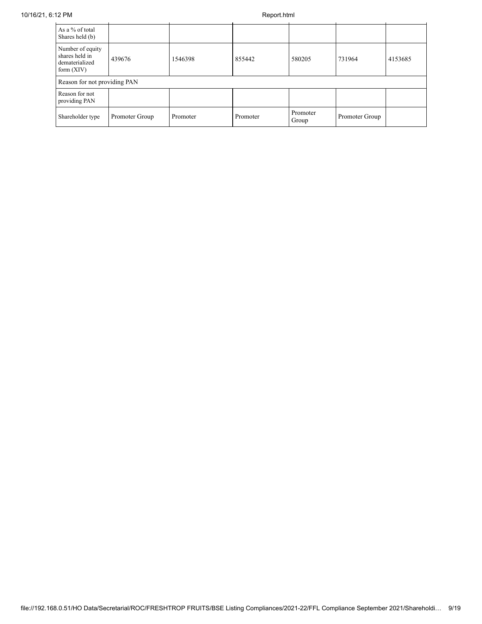| As a % of total<br>Shares held (b)                                   |                |          |          |                   |                |         |
|----------------------------------------------------------------------|----------------|----------|----------|-------------------|----------------|---------|
| Number of equity<br>shares held in<br>dematerialized<br>form $(XIV)$ | 439676         | 1546398  | 855442   | 580205            | 731964         | 4153685 |
| Reason for not providing PAN                                         |                |          |          |                   |                |         |
| Reason for not<br>providing PAN                                      |                |          |          |                   |                |         |
| Shareholder type                                                     | Promoter Group | Promoter | Promoter | Promoter<br>Group | Promoter Group |         |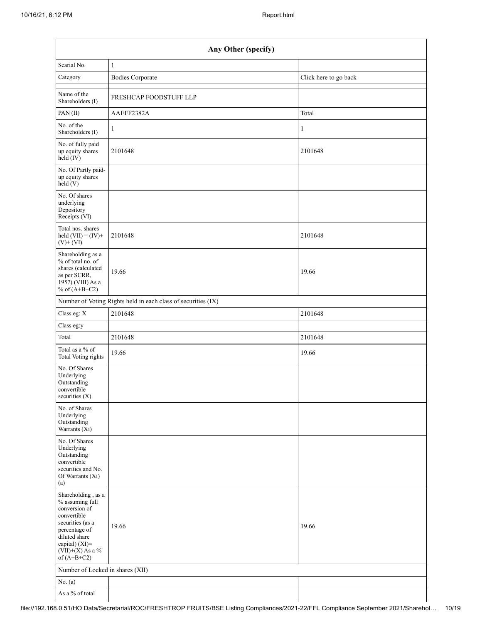| Any Other (specify)                                                                                                                                                                  |                                                               |                       |  |  |  |  |  |  |  |
|--------------------------------------------------------------------------------------------------------------------------------------------------------------------------------------|---------------------------------------------------------------|-----------------------|--|--|--|--|--|--|--|
| Searial No.                                                                                                                                                                          | $\mathbf{1}$                                                  |                       |  |  |  |  |  |  |  |
| Category                                                                                                                                                                             | <b>Bodies Corporate</b>                                       | Click here to go back |  |  |  |  |  |  |  |
| Name of the<br>Shareholders (I)                                                                                                                                                      | FRESHCAP FOODSTUFF LLP                                        |                       |  |  |  |  |  |  |  |
| PAN(II)                                                                                                                                                                              | AAEFF2382A                                                    | Total                 |  |  |  |  |  |  |  |
| No. of the<br>Shareholders (I)                                                                                                                                                       | 1                                                             | $\mathbf{1}$          |  |  |  |  |  |  |  |
| No. of fully paid<br>up equity shares<br>$\text{held} (IV)$                                                                                                                          | 2101648                                                       | 2101648               |  |  |  |  |  |  |  |
| No. Of Partly paid-<br>up equity shares<br>held $(V)$                                                                                                                                |                                                               |                       |  |  |  |  |  |  |  |
| No. Of shares<br>underlying<br>Depository<br>Receipts (VI)                                                                                                                           |                                                               |                       |  |  |  |  |  |  |  |
| Total nos. shares<br>held $(VII) = (IV) +$<br>$(V)$ + $(VI)$                                                                                                                         | 2101648                                                       | 2101648               |  |  |  |  |  |  |  |
| Shareholding as a<br>% of total no. of<br>shares (calculated<br>as per SCRR,<br>1957) (VIII) As a<br>% of $(A+B+C2)$                                                                 | 19.66                                                         | 19.66                 |  |  |  |  |  |  |  |
|                                                                                                                                                                                      | Number of Voting Rights held in each class of securities (IX) |                       |  |  |  |  |  |  |  |
| Class eg: X                                                                                                                                                                          | 2101648                                                       | 2101648               |  |  |  |  |  |  |  |
| Class eg:y                                                                                                                                                                           |                                                               |                       |  |  |  |  |  |  |  |
| Total                                                                                                                                                                                | 2101648                                                       | 2101648               |  |  |  |  |  |  |  |
| Total as a % of<br>Total Voting rights                                                                                                                                               | 19.66                                                         | 19.66                 |  |  |  |  |  |  |  |
| No. Of Shares<br>Underlying<br>Outstanding<br>convertible<br>securities $(X)$                                                                                                        |                                                               |                       |  |  |  |  |  |  |  |
| No. of Shares<br>Underlying<br>Outstanding<br>Warrants (Xi)                                                                                                                          |                                                               |                       |  |  |  |  |  |  |  |
| No. Of Shares<br>Underlying<br>Outstanding<br>convertible<br>securities and No.<br>Of Warrants (Xi)<br>(a)                                                                           |                                                               |                       |  |  |  |  |  |  |  |
| Shareholding, as a<br>% assuming full<br>conversion of<br>convertible<br>securities (as a<br>percentage of<br>diluted share<br>capital) (XI)=<br>$(VII)+(X)$ As a %<br>of $(A+B+C2)$ | 19.66                                                         | 19.66                 |  |  |  |  |  |  |  |
| Number of Locked in shares (XII)                                                                                                                                                     |                                                               |                       |  |  |  |  |  |  |  |
| No. $(a)$                                                                                                                                                                            |                                                               |                       |  |  |  |  |  |  |  |
| As a % of total                                                                                                                                                                      |                                                               |                       |  |  |  |  |  |  |  |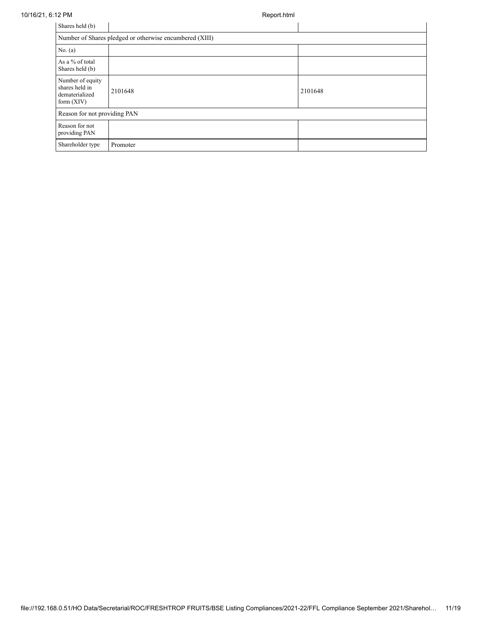10/16/21, 6:12 PM Report.html

| Shares held (b)                                                      |                              |         |  |  |  |  |  |  |  |
|----------------------------------------------------------------------|------------------------------|---------|--|--|--|--|--|--|--|
| Number of Shares pledged or otherwise encumbered (XIII)              |                              |         |  |  |  |  |  |  |  |
| No. $(a)$                                                            |                              |         |  |  |  |  |  |  |  |
| As a % of total<br>Shares held (b)                                   |                              |         |  |  |  |  |  |  |  |
| Number of equity<br>shares held in<br>dematerialized<br>form $(XIV)$ | 2101648                      | 2101648 |  |  |  |  |  |  |  |
|                                                                      | Reason for not providing PAN |         |  |  |  |  |  |  |  |
| Reason for not<br>providing PAN                                      |                              |         |  |  |  |  |  |  |  |
| Shareholder type                                                     | Promoter                     |         |  |  |  |  |  |  |  |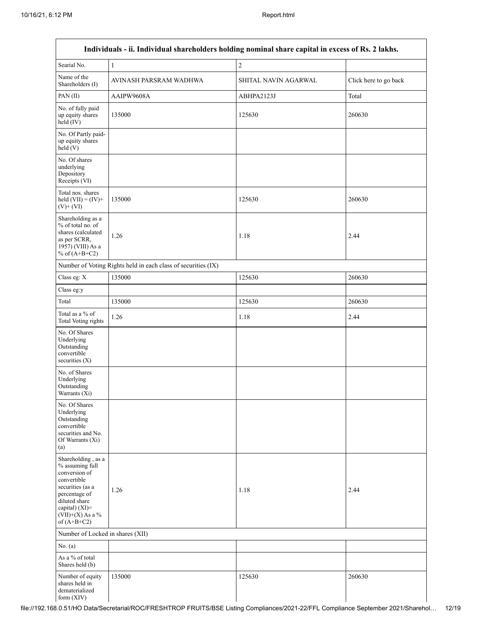|                                                                                                                                                                                      | Individuals - ii. Individual shareholders holding nominal share capital in excess of Rs. 2 lakhs. |                      |                       |
|--------------------------------------------------------------------------------------------------------------------------------------------------------------------------------------|---------------------------------------------------------------------------------------------------|----------------------|-----------------------|
| Searial No.                                                                                                                                                                          | $\,1\,$                                                                                           | $\overline{2}$       |                       |
| Name of the<br>Shareholders (I)                                                                                                                                                      | AVINASH PARSRAM WADHWA                                                                            | SHITAL NAVIN AGARWAL | Click here to go back |
| PAN(II)                                                                                                                                                                              | AAIPW9608A                                                                                        | ABHPA2123J           | Total                 |
| No. of fully paid<br>up equity shares<br>$held$ (IV)                                                                                                                                 | 135000                                                                                            | 125630               | 260630                |
| No. Of Partly paid-<br>up equity shares<br>held(V)                                                                                                                                   |                                                                                                   |                      |                       |
| No. Of shares<br>underlying<br>Depository<br>Receipts (VI)                                                                                                                           |                                                                                                   |                      |                       |
| Total nos. shares<br>held $(VII) = (IV) +$<br>$(V)$ + $(VI)$                                                                                                                         | 135000                                                                                            | 125630               | 260630                |
| Shareholding as a<br>% of total no. of<br>shares (calculated<br>as per SCRR,<br>1957) (VIII) As a<br>% of $(A+B+C2)$                                                                 | 1.26                                                                                              | 1.18                 | 2.44                  |
|                                                                                                                                                                                      | Number of Voting Rights held in each class of securities (IX)                                     |                      |                       |
| Class eg: X                                                                                                                                                                          | 135000                                                                                            | 125630               | 260630                |
| Class eg:y                                                                                                                                                                           |                                                                                                   |                      |                       |
| Total                                                                                                                                                                                | 135000                                                                                            | 125630               | 260630                |
| Total as a % of<br>Total Voting rights                                                                                                                                               | 1.26                                                                                              | 1.18                 | 2.44                  |
| No. Of Shares<br>Underlying<br>Outstanding<br>convertible<br>securities $(X)$                                                                                                        |                                                                                                   |                      |                       |
| No. of Shares<br>Underlying<br>Outstanding<br>Warrants (Xi)                                                                                                                          |                                                                                                   |                      |                       |
| No. Of Shares<br>Underlying<br>Outstanding<br>convertible<br>securities and No.<br>Of Warrants (Xi)<br>(a)                                                                           |                                                                                                   |                      |                       |
| Shareholding, as a<br>% assuming full<br>conversion of<br>convertible<br>securities (as a<br>percentage of<br>diluted share<br>capital) (XI)=<br>$(VII)+(X)$ As a %<br>of $(A+B+C2)$ | 1.26                                                                                              | 1.18                 | 2.44                  |
| Number of Locked in shares (XII)                                                                                                                                                     |                                                                                                   |                      |                       |
| No. (a)                                                                                                                                                                              |                                                                                                   |                      |                       |
| As a % of total<br>Shares held (b)                                                                                                                                                   |                                                                                                   |                      |                       |
| Number of equity<br>shares held in<br>dematerialized<br>form $(XIV)$                                                                                                                 | 135000                                                                                            | 125630               | 260630                |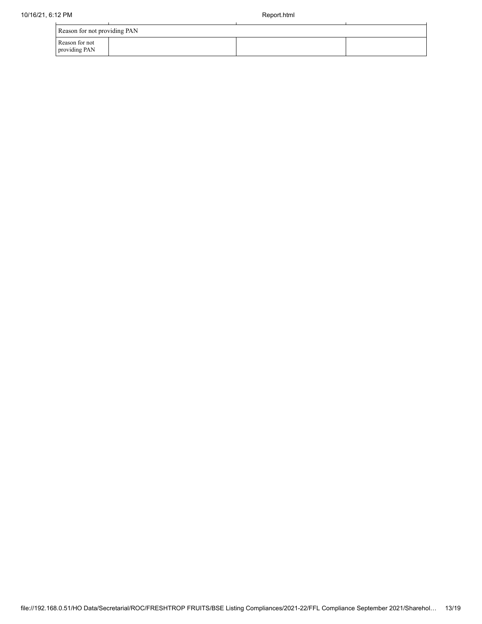| Reason for not providing PAN    |  |  |  |  |
|---------------------------------|--|--|--|--|
| Reason for not<br>providing PAN |  |  |  |  |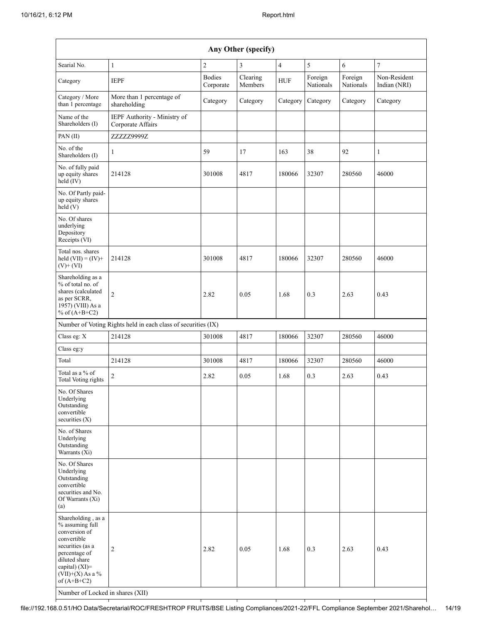| Any Other (specify)                                                                                                                                                                                                      |                                                               |                            |                     |                |                      |                      |                              |
|--------------------------------------------------------------------------------------------------------------------------------------------------------------------------------------------------------------------------|---------------------------------------------------------------|----------------------------|---------------------|----------------|----------------------|----------------------|------------------------------|
| Searial No.                                                                                                                                                                                                              | $\mathbf{1}$                                                  | $\overline{c}$             | 3                   | $\overline{4}$ | $\sqrt{5}$           | $\sqrt{6}$           | $\boldsymbol{7}$             |
| Category                                                                                                                                                                                                                 | <b>IEPF</b>                                                   | <b>Bodies</b><br>Corporate | Clearing<br>Members | HUF            | Foreign<br>Nationals | Foreign<br>Nationals | Non-Resident<br>Indian (NRI) |
| Category / More<br>than 1 percentage                                                                                                                                                                                     | More than 1 percentage of<br>shareholding                     | Category                   | Category            | Category       | Category             | Category             | Category                     |
| Name of the<br>Shareholders (I)                                                                                                                                                                                          | IEPF Authority - Ministry of<br>Corporate Affairs             |                            |                     |                |                      |                      |                              |
| PAN (II)                                                                                                                                                                                                                 | ZZZZZ9999Z                                                    |                            |                     |                |                      |                      |                              |
| No. of the<br>Shareholders (I)                                                                                                                                                                                           | $\mathbf{1}$                                                  | 59                         | 17                  | 163            | 38                   | 92                   | $\mathbf{1}$                 |
| No. of fully paid<br>up equity shares<br>held (IV)                                                                                                                                                                       | 214128                                                        | 301008                     | 4817                | 180066         | 32307                | 280560               | 46000                        |
| No. Of Partly paid-<br>up equity shares<br>held (V)                                                                                                                                                                      |                                                               |                            |                     |                |                      |                      |                              |
| No. Of shares<br>underlying<br>Depository<br>Receipts (VI)                                                                                                                                                               |                                                               |                            |                     |                |                      |                      |                              |
| Total nos. shares<br>held $(VII) = (IV) +$<br>$(V)$ + $(VI)$                                                                                                                                                             | 214128                                                        | 301008                     | 4817                | 180066         | 32307                | 280560               | 46000                        |
| Shareholding as a<br>% of total no. of<br>shares (calculated<br>as per SCRR,<br>1957) (VIII) As a<br>% of $(A+B+C2)$                                                                                                     | $\overline{c}$                                                | 2.82                       | 0.05                | 1.68           | 0.3                  | 2.63                 | 0.43                         |
|                                                                                                                                                                                                                          | Number of Voting Rights held in each class of securities (IX) |                            |                     |                |                      |                      |                              |
| Class eg: X                                                                                                                                                                                                              | 214128                                                        | 301008                     | 4817                | 180066         | 32307                | 280560               | 46000                        |
| Class eg:y                                                                                                                                                                                                               |                                                               |                            |                     |                |                      |                      |                              |
| Total                                                                                                                                                                                                                    | 214128                                                        | 301008                     | 4817                | 180066         | 32307                | 280560               | 46000                        |
| Total as a % of<br><b>Total Voting rights</b>                                                                                                                                                                            | 2                                                             | 2.82                       | 0.05                | 1.68           | 0.3                  | 2.63                 | 0.43                         |
| No. Of Shares<br>Underlying<br>Outstanding<br>convertible<br>securities $(X)$                                                                                                                                            |                                                               |                            |                     |                |                      |                      |                              |
| No. of Shares<br>Underlying<br>Outstanding<br>Warrants $(X_i)$                                                                                                                                                           |                                                               |                            |                     |                |                      |                      |                              |
| No. Of Shares<br>Underlying<br>Outstanding<br>convertible<br>securities and No.<br>Of Warrants (Xi)<br>(a)                                                                                                               |                                                               |                            |                     |                |                      |                      |                              |
| Shareholding, as a<br>% assuming full<br>conversion of<br>convertible<br>securities (as a<br>percentage of<br>diluted share<br>capital) (XI)=<br>$(VII)+(X)$ As a %<br>of $(A+B+C2)$<br>Number of Locked in shares (XII) | 2                                                             | 2.82                       | 0.05                | 1.68           | 0.3                  | 2.63                 | 0.43                         |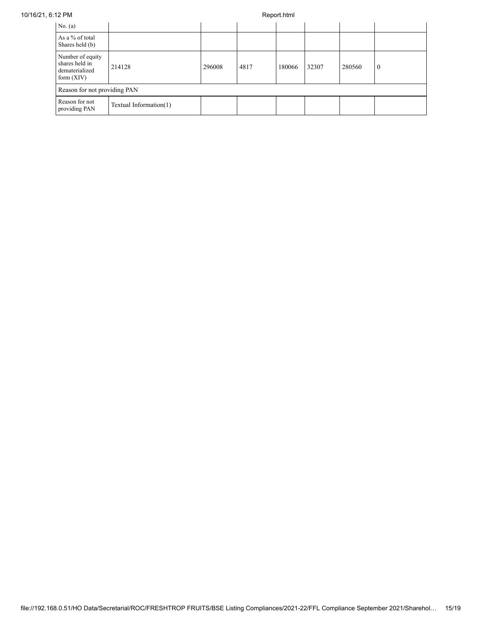| No. $(a)$                                                            |                        |        |      |        |       |        |              |
|----------------------------------------------------------------------|------------------------|--------|------|--------|-------|--------|--------------|
| As a % of total<br>Shares held (b)                                   |                        |        |      |        |       |        |              |
| Number of equity<br>shares held in<br>dematerialized<br>form $(XIV)$ | 214128                 | 296008 | 4817 | 180066 | 32307 | 280560 | $\mathbf{0}$ |
| Reason for not providing PAN                                         |                        |        |      |        |       |        |              |
| Reason for not<br>providing PAN                                      | Textual Information(1) |        |      |        |       |        |              |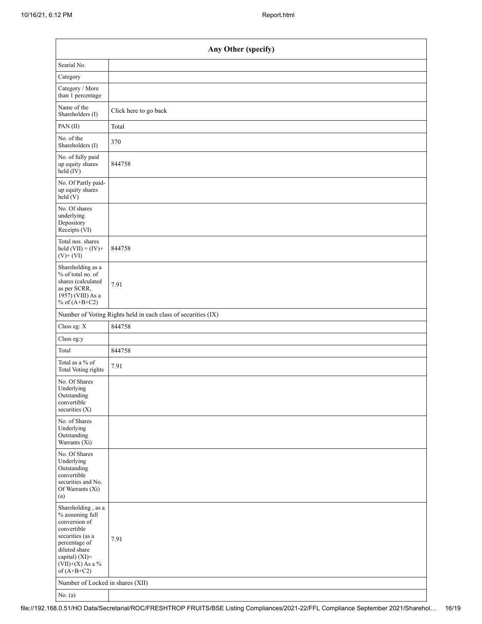| Any Other (specify)                                                                                                                                                                  |                                                               |  |  |  |
|--------------------------------------------------------------------------------------------------------------------------------------------------------------------------------------|---------------------------------------------------------------|--|--|--|
| Searial No.                                                                                                                                                                          |                                                               |  |  |  |
| Category                                                                                                                                                                             |                                                               |  |  |  |
| Category / More<br>than 1 percentage                                                                                                                                                 |                                                               |  |  |  |
| Name of the<br>Shareholders (I)                                                                                                                                                      | Click here to go back                                         |  |  |  |
| PAN(II)                                                                                                                                                                              | Total                                                         |  |  |  |
| No. of the<br>Shareholders (I)                                                                                                                                                       | 370                                                           |  |  |  |
| No. of fully paid<br>up equity shares<br>$\text{held} (IV)$                                                                                                                          | 844758                                                        |  |  |  |
| No. Of Partly paid-<br>up equity shares<br>held(V)                                                                                                                                   |                                                               |  |  |  |
| No. Of shares<br>underlying<br>Depository<br>Receipts (VI)                                                                                                                           |                                                               |  |  |  |
| Total nos. shares<br>held $(VII) = (IV) +$<br>$(V)$ + $(VI)$                                                                                                                         | 844758                                                        |  |  |  |
| Shareholding as a<br>% of total no. of<br>shares (calculated<br>as per SCRR,<br>1957) (VIII) As a<br>% of $(A+B+C2)$                                                                 | 7.91                                                          |  |  |  |
|                                                                                                                                                                                      | Number of Voting Rights held in each class of securities (IX) |  |  |  |
| Class eg: X                                                                                                                                                                          | 844758                                                        |  |  |  |
| Class eg:y                                                                                                                                                                           |                                                               |  |  |  |
| Total                                                                                                                                                                                | 844758                                                        |  |  |  |
| Total as a % of<br><b>Total Voting rights</b>                                                                                                                                        | 7.91                                                          |  |  |  |
| No. Of Shares<br>Underlying<br>Outstanding<br>convertible<br>securities $(X)$                                                                                                        |                                                               |  |  |  |
| No. of Shares<br>Underlying<br>Outstanding<br>Warrants (Xi)                                                                                                                          |                                                               |  |  |  |
| No. Of Shares<br>Underlying<br>Outstanding<br>convertible<br>securities and No.<br>Of Warrants (Xi)<br>(a)                                                                           |                                                               |  |  |  |
| Shareholding, as a<br>% assuming full<br>conversion of<br>convertible<br>securities (as a<br>percentage of<br>diluted share<br>capital) (XI)=<br>$(VII)+(X)$ As a %<br>of $(A+B+C2)$ | 7.91                                                          |  |  |  |
| Number of Locked in shares (XII)<br>No. (a)                                                                                                                                          |                                                               |  |  |  |

file://192.168.0.51/HO Data/Secretarial/ROC/FRESHTROP FRUITS/BSE Listing Compliances/2021-22/FFL Compliance September 2021/Sharehol… 16/19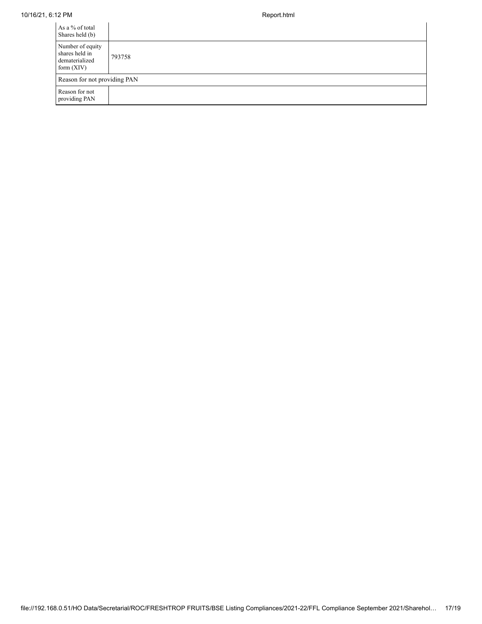## 10/16/21, 6:12 PM Report.html

| As a % of total<br>Shares held (b)                                   |        |
|----------------------------------------------------------------------|--------|
| Number of equity<br>shares held in<br>dematerialized<br>form $(XIV)$ | 793758 |
| Reason for not providing PAN                                         |        |
| Reason for not<br>providing PAN                                      |        |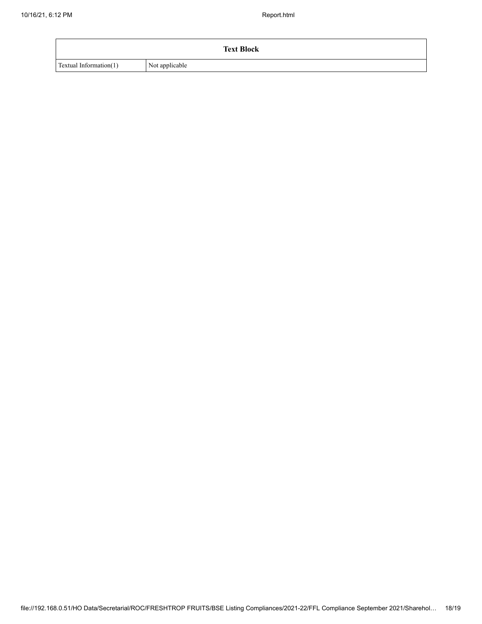| <b>Text Block</b>      |                |  |  |
|------------------------|----------------|--|--|
| Textual Information(1) | Not applicable |  |  |